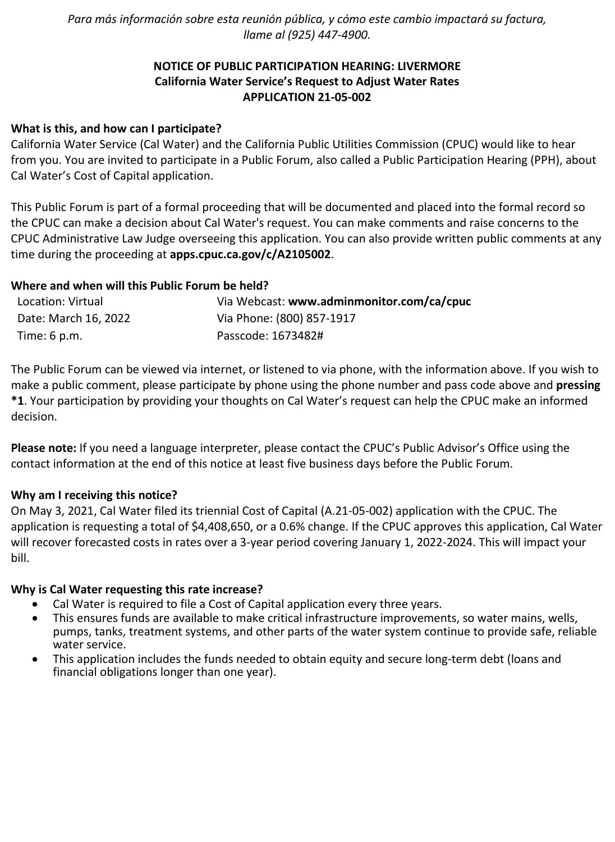*Para más información sobre esta reunión pública, y cómo este cambio impactará su factura, llame al (925) 447-4900.*

# **NOTICE OF PUBLIC PARTICIPATION HEARING: LIVERMORE California Water Service's Request to Adjust Water Rates APPLICATION 21-05-002**

### **What is this, and how can I participate?**

California Water Service (Cal Water) and the California Public Utilities Commission (CPUC) would like to hear from you. You are invited to participate in a Public Forum, also called a Public Participation Hearing (PPH), about Cal Water's Cost of Capital application.

This Public Forum is part of a formal proceeding that will be documented and placed into the formal record so the CPUC can make a decision about Cal Water's request. You can make comments and raise concerns to the CPUC Administrative Law Judge overseeing this application. You can also provide written public comments at any time during the proceeding at **[apps.cpuc.ca.gov/c/A2105002](https://apps.cpuc.ca.gov/apex/f?p=401:65:0::NO:RP,57,RIR:P5_PROCEEDING_SELECT:A2105002)**.

### **Where and when will this Public Forum be held?**

| Location: Virtual      | Via Webcast: www.adminmonitor.com/ca/cpuc |
|------------------------|-------------------------------------------|
| Date: March 16, 2022   | Via Phone: (800) 857-1917                 |
| Time: $6 \text{ p.m.}$ | Passcode: 1673482#                        |

The Public Forum can be viewed via internet, or listened to via phone, with the information above. If you wish to make a public comment, please participate by phone using the phone number and pass code above and **pressing \*1**. Your participation by providing your thoughts on Cal Water's request can help the CPUC make an informed decision.

**Please note:** If you need a language interpreter, please contact the CPUC's Public Advisor's Office using the contact information at the end of this notice at least five business days before the Public Forum.

#### **Why am I receiving this notice?**

On May 3, 2021, Cal Water filed its triennial Cost of Capital (A.21-05-002) application with the CPUC. The application is requesting a total of \$4,408,650, or a 0.6% change. If the CPUC approves this application, Cal Water will recover forecasted costs in rates over a 3-year period covering January 1, 2022-2024. This will impact your bill.

#### **Why is Cal Water requesting this rate increase?**

- Cal Water is required to file a Cost of Capital application every three years.
- This ensures funds are available to make critical infrastructure improvements, so water mains, wells, pumps, tanks, treatment systems, and other parts of the water system continue to provide safe, reliable water service.
- This application includes the funds needed to obtain equity and secure long-term debt (loans and financial obligations longer than one year).